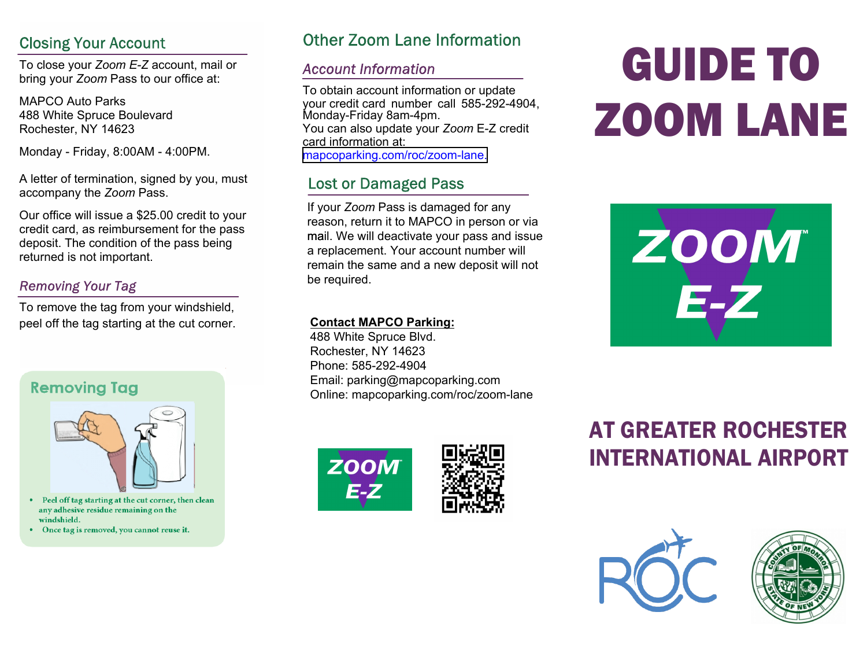#### **Closing Your Account**

To close your *Zoom E-Z* account, mail or bring your *Zoom* Pass to our office at:

MAPCO Auto Parks 488 White Spruce Boulevard Rochester, NY 14623

Monday - Friday, 8:00AM - 4:00PM.

A letter of termination, signed by you, must accompany the *Zoom* Pass.

Our office will issue a \$25.00 credit to your credit card, as reimbursement for the pass deposit. The condition of the pass being returned is not important.

#### **Removing Your Tag**

To remove the tag from your windshield, peel off the tag starting at the cut corner.

#### **Removing Tag**



- Peel off tag starting at the cut corner, then clean any adhesive residue remaining on the windshield.
- Once tag is removed, you cannot reuse it.

#### **Other Zoom Lane Information**

#### **Account Information**

To obtain account information or update your credit card number call 585-292-4904, Monday-Friday 8am-4pm. You can also update your *Zoom* E-Z credit card information at: [mapcoparking.com/roc/zoom](https://www.mapcoparking.com/roc/zoom-lane)-lane.

#### **Lost or Damaged Pass**

If your *Zoom* Pass is damaged for any reason, return it to MAPCO in person or via mail. We will deactivate your pass and issue a replacement. Your account number will remain the same and a new deposit will not be required.

#### **Contact MAPCO Parking:**

488 White Spruce Blvd. Rochester, NY 14623 Phone: 585-292-4904 Email: parking@mapcoparking.com Online: mapcoparking.com/roc/zoom-lane





# GUIDE TO ZOOM LANE



### AT GREATER ROCHESTER INTERNATIONAL AIRPORT